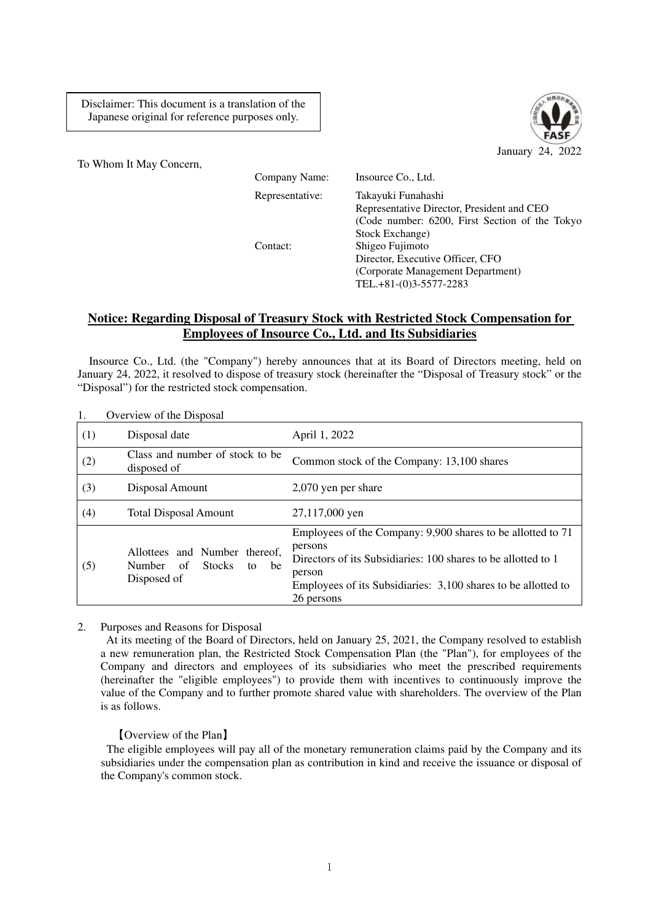Disclaimer: This document is a translation of the Japanese original for reference purposes only.



To Whom It May Concern,

Company Name: Insource Co., Ltd.

Representative: Takayuki Funahashi Representative Director, President and CEO (Code number: 6200, First Section of the Tokyo Stock Exchange) Contact: Shigeo Fujimoto Director, Executive Officer, CFO (Corporate Management Department) TEL.+81-(0)3-5577-2283

## **Notice: Regarding Disposal of Treasury Stock with Restricted Stock Compensation for Employees of Insource Co., Ltd. and Its Subsidiaries**

Insource Co., Ltd. (the "Company") hereby announces that at its Board of Directors meeting, held on January 24, 2022, it resolved to dispose of treasury stock (hereinafter the "Disposal of Treasury stock" or the "Disposal") for the restricted stock compensation.

| 1.  | Overview of the Disposal                                                               |                                                                                                                                                                                                                                  |
|-----|----------------------------------------------------------------------------------------|----------------------------------------------------------------------------------------------------------------------------------------------------------------------------------------------------------------------------------|
| (1) | Disposal date                                                                          | April 1, 2022                                                                                                                                                                                                                    |
| (2) | Class and number of stock to be.<br>disposed of                                        | Common stock of the Company: 13,100 shares                                                                                                                                                                                       |
| (3) | Disposal Amount                                                                        | 2,070 yen per share                                                                                                                                                                                                              |
| (4) | <b>Total Disposal Amount</b>                                                           | 27,117,000 yen                                                                                                                                                                                                                   |
| (5) | Allottees and Number thereof,<br><b>Stocks</b><br>Number of<br>be<br>to<br>Disposed of | Employees of the Company: 9,900 shares to be allotted to 71<br>persons<br>Directors of its Subsidiaries: 100 shares to be allotted to 1<br>person<br>Employees of its Subsidiaries: 3,100 shares to be allotted to<br>26 persons |

2. Purposes and Reasons for Disposal

At its meeting of the Board of Directors, held on January 25, 2021, the Company resolved to establish a new remuneration plan, the Restricted Stock Compensation Plan (the "Plan"), for employees of the Company and directors and employees of its subsidiaries who meet the prescribed requirements (hereinafter the "eligible employees") to provide them with incentives to continuously improve the value of the Company and to further promote shared value with shareholders. The overview of the Plan is as follows.

【Overview of the Plan】

The eligible employees will pay all of the monetary remuneration claims paid by the Company and its subsidiaries under the compensation plan as contribution in kind and receive the issuance or disposal of the Company's common stock.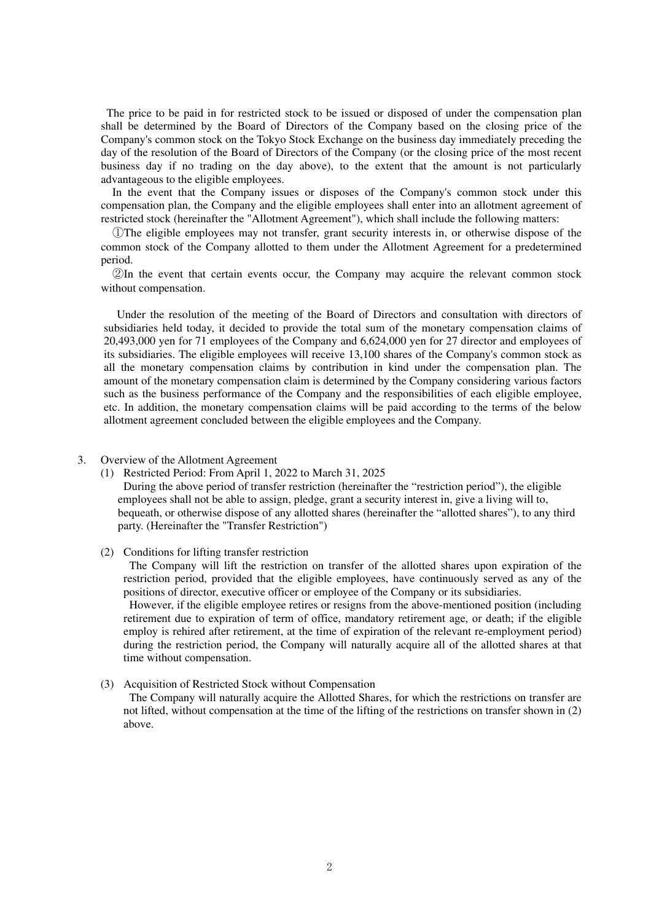The price to be paid in for restricted stock to be issued or disposed of under the compensation plan shall be determined by the Board of Directors of the Company based on the closing price of the Company's common stock on the Tokyo Stock Exchange on the business day immediately preceding the day of the resolution of the Board of Directors of the Company (or the closing price of the most recent business day if no trading on the day above), to the extent that the amount is not particularly advantageous to the eligible employees.

In the event that the Company issues or disposes of the Company's common stock under this compensation plan, the Company and the eligible employees shall enter into an allotment agreement of restricted stock (hereinafter the "Allotment Agreement"), which shall include the following matters:

①The eligible employees may not transfer, grant security interests in, or otherwise dispose of the common stock of the Company allotted to them under the Allotment Agreement for a predetermined period.

②In the event that certain events occur, the Company may acquire the relevant common stock without compensation.

Under the resolution of the meeting of the Board of Directors and consultation with directors of subsidiaries held today, it decided to provide the total sum of the monetary compensation claims of 20,493,000 yen for 71 employees of the Company and 6,624,000 yen for 27 director and employees of its subsidiaries. The eligible employees will receive 13,100 shares of the Company's common stock as all the monetary compensation claims by contribution in kind under the compensation plan. The amount of the monetary compensation claim is determined by the Company considering various factors such as the business performance of the Company and the responsibilities of each eligible employee, etc. In addition, the monetary compensation claims will be paid according to the terms of the below allotment agreement concluded between the eligible employees and the Company.

## 3. Overview of the Allotment Agreement

(1) Restricted Period: From April 1, 2022 to March 31, 2025

During the above period of transfer restriction (hereinafter the "restriction period"), the eligible employees shall not be able to assign, pledge, grant a security interest in, give a living will to, bequeath, or otherwise dispose of any allotted shares (hereinafter the "allotted shares"), to any third party. (Hereinafter the "Transfer Restriction")

## (2) Conditions for lifting transfer restriction

The Company will lift the restriction on transfer of the allotted shares upon expiration of the restriction period, provided that the eligible employees, have continuously served as any of the positions of director, executive officer or employee of the Company or its subsidiaries.

However, if the eligible employee retires or resigns from the above-mentioned position (including retirement due to expiration of term of office, mandatory retirement age, or death; if the eligible employ is rehired after retirement, at the time of expiration of the relevant re-employment period) during the restriction period, the Company will naturally acquire all of the allotted shares at that time without compensation.

## (3) Acquisition of Restricted Stock without Compensation The Company will naturally acquire the Allotted Shares, for which the restrictions on transfer are not lifted, without compensation at the time of the lifting of the restrictions on transfer shown in (2) above.